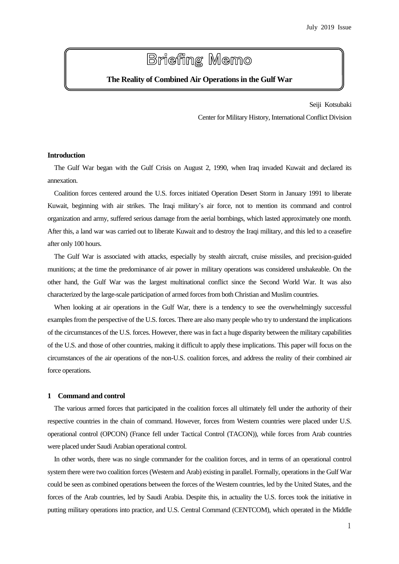# **Briefing Memo**

# **The Reality of Combined Air Operations in the Gulf War**

Seiji Kotsubaki Center for Military History, International Conflict Division

# **Introduction**

The Gulf War began with the Gulf Crisis on August 2, 1990, when Iraq invaded Kuwait and declared its annexation.

Coalition forces centered around the U.S. forces initiated Operation Desert Storm in January 1991 to liberate Kuwait, beginning with air strikes. The Iraqi military's air force, not to mention its command and control organization and army, suffered serious damage from the aerial bombings, which lasted approximately one month. After this, a land war was carried out to liberate Kuwait and to destroy the Iraqi military, and this led to a ceasefire after only 100 hours.

The Gulf War is associated with attacks, especially by stealth aircraft, cruise missiles, and precision-guided munitions; at the time the predominance of air power in military operations was considered unshakeable. On the other hand, the Gulf War was the largest multinational conflict since the Second World War. It was also characterized by the large-scale participation of armed forces from both Christian and Muslim countries.

When looking at air operations in the Gulf War, there is a tendency to see the overwhelmingly successful examples from the perspective of the U.S. forces. There are also many people who try to understand the implications of the circumstances of the U.S. forces. However, there was in fact a huge disparity between the military capabilities of the U.S. and those of other countries, making it difficult to apply these implications. This paper will focus on the circumstances of the air operations of the non-U.S. coalition forces, and address the reality of their combined air force operations.

# **1 Command and control**

The various armed forces that participated in the coalition forces all ultimately fell under the authority of their respective countries in the chain of command. However, forces from Western countries were placed under U.S. operational control (OPCON) (France fell under Tactical Control (TACON)), while forces from Arab countries were placed under Saudi Arabian operational control.

In other words, there was no single commander for the coalition forces, and in terms of an operational control system there were two coalition forces (Western and Arab) existing in parallel. Formally, operations in the Gulf War could be seen as combined operations between the forces of the Western countries, led by the United States, and the forces of the Arab countries, led by Saudi Arabia. Despite this, in actuality the U.S. forces took the initiative in putting military operations into practice, and U.S. Central Command (CENTCOM), which operated in the Middle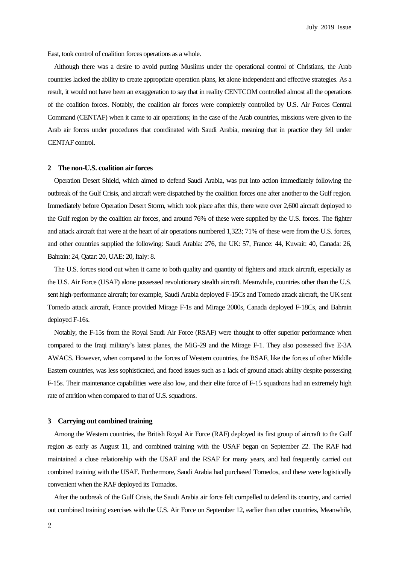East, took control of coalition forces operations as a whole.

Although there was a desire to avoid putting Muslims under the operational control of Christians, the Arab countries lacked the ability to create appropriate operation plans, let alone independent and effective strategies. As a result, it would not have been an exaggeration to say that in reality CENTCOM controlled almost all the operations of the coalition forces. Notably, the coalition air forces were completely controlled by U.S. Air Forces Central Command (CENTAF) when it came to air operations; in the case of the Arab countries, missions were given to the Arab air forces under procedures that coordinated with Saudi Arabia, meaning that in practice they fell under CENTAF control.

### **2 The non-U.S. coalition air forces**

 Operation Desert Shield, which aimed to defend Saudi Arabia, was put into action immediately following the outbreak of the Gulf Crisis, and aircraft were dispatched by the coalition forces one after another to the Gulf region. Immediately before Operation Desert Storm, which took place after this, there were over 2,600 aircraft deployed to the Gulf region by the coalition air forces, and around 76% of these were supplied by the U.S. forces. The fighter and attack aircraft that were at the heart of air operations numbered 1,323; 71% of these were from the U.S. forces, and other countries supplied the following: Saudi Arabia: 276, the UK: 57, France: 44, Kuwait: 40, Canada: 26, Bahrain: 24, Qatar: 20, UAE: 20, Italy: 8.

The U.S. forces stood out when it came to both quality and quantity of fighters and attack aircraft, especially as the U.S. Air Force (USAF) alone possessed revolutionary stealth aircraft. Meanwhile, countries other than the U.S. sent high-performance aircraft; for example, Saudi Arabia deployed F-15Cs and Tornedo attack aircraft, the UK sent Tornedo attack aircraft, France provided Mirage F-1s and Mirage 2000s, Canada deployed F-18Cs, and Bahrain deployed F-16s.

 Notably, the F-15s from the Royal Saudi Air Force (RSAF) were thought to offer superior performance when compared to the Iraqi military's latest planes, the MiG-29 and the Mirage F-1. They also possessed five E-3A AWACS. However, when compared to the forces of Western countries, the RSAF, like the forces of other Middle Eastern countries, was less sophisticated, and faced issues such as a lack of ground attack ability despite possessing F-15s. Their maintenance capabilities were also low, and their elite force of F-15 squadrons had an extremely high rate of attrition when compared to that of U.S. squadrons.

#### **3 Carrying out combined training**

 Among the Western countries, the British Royal Air Force (RAF) deployed its first group of aircraft to the Gulf region as early as August 11, and combined training with the USAF began on September 22. The RAF had maintained a close relationship with the USAF and the RSAF for many years, and had frequently carried out combined training with the USAF. Furthermore, Saudi Arabia had purchased Tornedos, and these were logistically convenient when the RAF deployed its Tornados.

After the outbreak of the Gulf Crisis, the Saudi Arabia air force felt compelled to defend its country, and carried out combined training exercises with the U.S. Air Force on September 12, earlier than other countries, Meanwhile,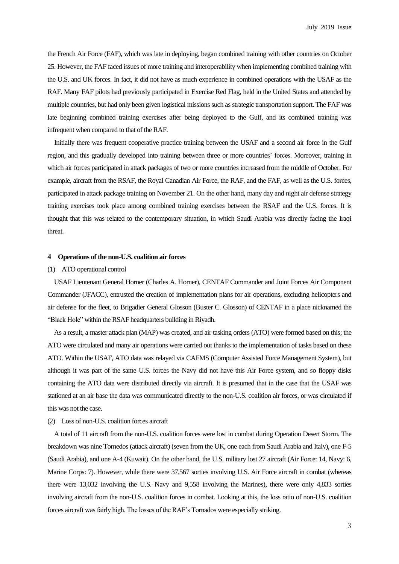the French Air Force (FAF), which was late in deploying, began combined training with other countries on October 25. However, the FAF faced issues of more training and interoperability when implementing combined training with the U.S. and UK forces. In fact, it did not have as much experience in combined operations with the USAF as the RAF. Many FAF pilots had previously participated in Exercise Red Flag, held in the United States and attended by multiple countries, but had only been given logistical missions such as strategic transportation support. The FAF was late beginning combined training exercises after being deployed to the Gulf, and its combined training was infrequent when compared to that of the RAF.

 Initially there was frequent cooperative practice training between the USAF and a second air force in the Gulf region, and this gradually developed into training between three or more countries' forces. Moreover, training in which air forces participated in attack packages of two or more countries increased from the middle of October. For example, aircraft from the RSAF, the Royal Canadian Air Force, the RAF, and the FAF, as well as the U.S. forces, participated in attack package training on November 21. On the other hand, many day and night air defense strategy training exercises took place among combined training exercises between the RSAF and the U.S. forces. It is thought that this was related to the contemporary situation, in which Saudi Arabia was directly facing the Iraqi threat.

#### **4 Operations of the non-U.S. coalition air forces**

# (1) ATO operational control

USAF Lieutenant General Horner (Charles A. Horner), CENTAF Commander and Joint Forces Air Component Commander (JFACC), entrusted the creation of implementation plans for air operations, excluding helicopters and air defense for the fleet, to Brigadier General Glosson (Buster C. Glosson) of CENTAF in a place nicknamed the "Black Hole" within the RSAF headquarters building in Riyadh.

As a result, a master attack plan (MAP) was created, and air tasking orders (ATO) were formed based on this; the ATO were circulated and many air operations were carried out thanks to the implementation of tasks based on these ATO. Within the USAF, ATO data was relayed via CAFMS (Computer Assisted Force Management System), but although it was part of the same U.S. forces the Navy did not have this Air Force system, and so floppy disks containing the ATO data were distributed directly via aircraft. It is presumed that in the case that the USAF was stationed at an air base the data was communicated directly to the non-U.S. coalition air forces, or was circulated if this was not the case.

# (2) Loss of non-U.S. coalition forces aircraft

 A total of 11 aircraft from the non-U.S. coalition forces were lost in combat during Operation Desert Storm. The breakdown was nine Tornedos (attack aircraft) (seven from the UK, one each from Saudi Arabia and Italy), one F-5 (Saudi Arabia), and one A-4 (Kuwait). On the other hand, the U.S. military lost 27 aircraft (Air Force: 14, Navy: 6, Marine Corps: 7). However, while there were 37,567 sorties involving U.S. Air Force aircraft in combat (whereas there were 13,032 involving the U.S. Navy and 9,558 involving the Marines), there were only 4,833 sorties involving aircraft from the non-U.S. coalition forces in combat. Looking at this, the loss ratio of non-U.S. coalition forces aircraft was fairly high. The losses of the RAF's Tornados were especially striking.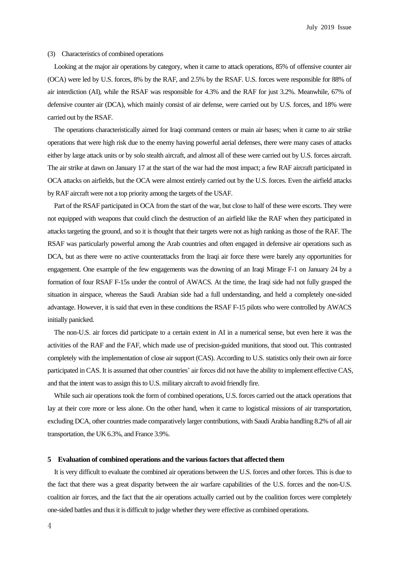#### (3) Characteristics of combined operations

 Looking at the major air operations by category, when it came to attack operations, 85% of offensive counter air (OCA) were led by U.S. forces, 8% by the RAF, and 2.5% by the RSAF. U.S. forces were responsible for 88% of air interdiction (AI), while the RSAF was responsible for 4.3% and the RAF for just 3.2%. Meanwhile, 67% of defensive counter air (DCA), which mainly consist of air defense, were carried out by U.S. forces, and 18% were carried out by the RSAF.

 The operations characteristically aimed for Iraqi command centers or main air bases; when it came to air strike operations that were high risk due to the enemy having powerful aerial defenses, there were many cases of attacks either by large attack units or by solo stealth aircraft, and almost all of these were carried out by U.S. forces aircraft. The air strike at dawn on January 17 at the start of the war had the most impact; a few RAF aircraft participated in OCA attacks on airfields, but the OCA were almost entirely carried out by the U.S. forces. Even the airfield attacks by RAF aircraft were not a top priority among the targets of the USAF.

Part of the RSAF participated in OCA from the start of the war, but close to half of these were escorts. They were not equipped with weapons that could clinch the destruction of an airfield like the RAF when they participated in attacks targeting the ground, and so it is thought that their targets were not as high ranking as those of the RAF. The RSAF was particularly powerful among the Arab countries and often engaged in defensive air operations such as DCA, but as there were no active counterattacks from the Iraqi air force there were barely any opportunities for engagement. One example of the few engagements was the downing of an Iraqi Mirage F-1 on January 24 by a formation of four RSAF F-15s under the control of AWACS. At the time, the Iraqi side had not fully grasped the situation in airspace, whereas the Saudi Arabian side had a full understanding, and held a completely one-sided advantage. However, it is said that even in these conditions the RSAF F-15 pilots who were controlled by AWACS initially panicked.

The non-U.S. air forces did participate to a certain extent in AI in a numerical sense, but even here it was the activities of the RAF and the FAF, which made use of precision-guided munitions, that stood out. This contrasted completely with the implementation of close air support (CAS). According to U.S. statistics only their own air force participated in CAS. It is assumed that other countries' air forces did not have the ability to implement effective CAS, and that the intent was to assign this to U.S. military aircraft to avoid friendly fire.

While such air operations took the form of combined operations, U.S. forces carried out the attack operations that lay at their core more or less alone. On the other hand, when it came to logistical missions of air transportation, excluding DCA, other countries made comparatively larger contributions, with Saudi Arabia handling 8.2% of all air transportation, the UK 6.3%, and France 3.9%.

#### **5 Evaluation of combined operations and the various factors that affected them**

 It is very difficult to evaluate the combined air operations between the U.S. forces and other forces. This is due to the fact that there was a great disparity between the air warfare capabilities of the U.S. forces and the non-U.S. coalition air forces, and the fact that the air operations actually carried out by the coalition forces were completely one-sided battles and thusit is difficult to judge whether they were effective as combined operations.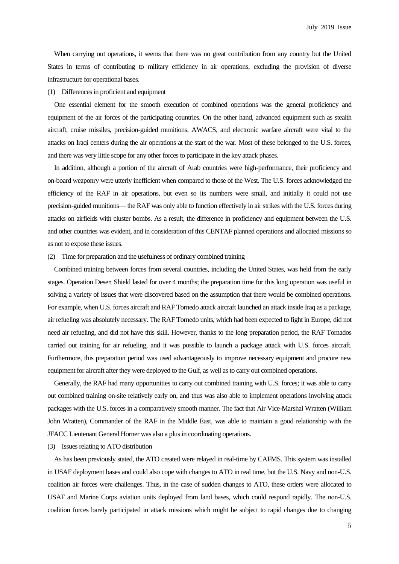When carrying out operations, it seems that there was no great contribution from any country but the United States in terms of contributing to military efficiency in air operations, excluding the provision of diverse infrastructure for operational bases.

# (1) Differences in proficient and equipment

One essential element for the smooth execution of combined operations was the general proficiency and equipment of the air forces of the participating countries. On the other hand, advanced equipment such as stealth aircraft, cruise missiles, precision-guided munitions, AWACS, and electronic warfare aircraft were vital to the attacks on Iraqi centers during the air operations at the start of the war. Most of these belonged to the U.S. forces, and there was very little scope for any other forces to participate in the key attack phases.

In addition, although a portion of the aircraft of Arab countries were high-performance, their proficiency and on-board weaponry were utterly inefficient when compared to those of the West. The U.S. forces acknowledged the efficiency of the RAF in air operations, but even so its numbers were small, and initially it could not use precision-guided munitions— the RAF was only able to function effectively in air strikes with the U.S. forces during attacks on airfields with cluster bombs. As a result, the difference in proficiency and equipment between the U.S. and other countries was evident, and in consideration of this CENTAF planned operations and allocated missions so as not to expose these issues.

# (2) Time for preparation and the usefulness of ordinary combined training

 Combined training between forces from several countries, including the United States, was held from the early stages. Operation Desert Shield lasted for over 4 months; the preparation time for this long operation was useful in solving a variety of issues that were discovered based on the assumption that there would be combined operations. For example, when U.S. forces aircraft and RAF Tornedo attack aircraft launched an attack inside Iraq as a package, air refueling was absolutely necessary. The RAF Tornedo units, which had been expected to fight in Europe, did not need air refueling, and did not have this skill. However, thanks to the long preparation period, the RAF Tornados carried out training for air refueling, and it was possible to launch a package attack with U.S. forces aircraft. Furthermore, this preparation period was used advantageously to improve necessary equipment and procure new equipment for aircraft after they were deployed to the Gulf, as well as to carry out combined operations.

 Generally, the RAF had many opportunities to carry out combined training with U.S. forces; it was able to carry out combined training on-site relatively early on, and thus was also able to implement operations involving attack packages with the U.S. forces in a comparatively smooth manner. The fact that Air Vice-Marshal Wratten (William John Wratten), Commander of the RAF in the Middle East, was able to maintain a good relationship with the JFACC Lieutenant General Horner was also a plus in coordinating operations.

# (3) Issues relating to ATO distribution

As has been previously stated, the ATO created were relayed in real-time by CAFMS. This system was installed in USAF deployment bases and could also cope with changes to ATO in real time, but the U.S. Navy and non-U.S. coalition air forces were challenges. Thus, in the case of sudden changes to ATO, these orders were allocated to USAF and Marine Corps aviation units deployed from land bases, which could respond rapidly. The non-U.S. coalition forces barely participated in attack missions which might be subject to rapid changes due to changing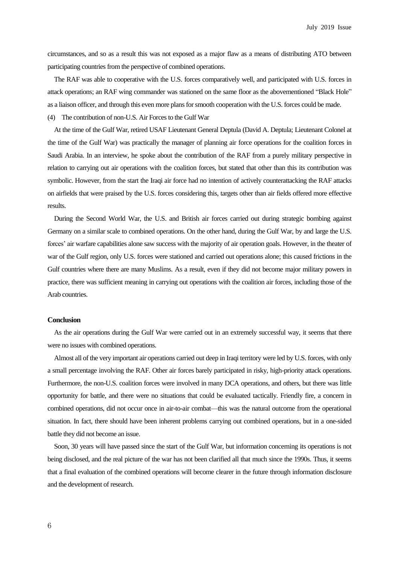circumstances, and so as a result this was not exposed as a major flaw as a means of distributing ATO between participating countries from the perspective of combined operations.

The RAF was able to cooperative with the U.S. forces comparatively well, and participated with U.S. forces in attack operations; an RAF wing commander was stationed on the same floor as the abovementioned "Black Hole" as a liaison officer, and through this even more plans forsmooth cooperation with the U.S. forces could be made.

(4) The contribution of non-U.S. Air Forces to the Gulf War

At the time of the Gulf War, retired USAF Lieutenant General Deptula (David A. Deptula; Lieutenant Colonel at the time of the Gulf War) was practically the manager of planning air force operations for the coalition forces in Saudi Arabia. In an interview, he spoke about the contribution of the RAF from a purely military perspective in relation to carrying out air operations with the coalition forces, but stated that other than this its contribution was symbolic. However, from the start the Iraqi air force had no intention of actively counterattacking the RAF attacks on airfields that were praised by the U.S. forces considering this, targets other than air fields offered more effective results.

During the Second World War, the U.S. and British air forces carried out during strategic bombing against Germany on a similar scale to combined operations. On the other hand, during the Gulf War, by and large the U.S. forces' air warfare capabilities alone saw success with the majority of air operation goals. However, in the theater of war of the Gulf region, only U.S. forces were stationed and carried out operations alone; this caused frictions in the Gulf countries where there are many Muslims. As a result, even if they did not become major military powers in practice, there was sufficient meaning in carrying out operations with the coalition air forces, including those of the Arab countries.

# **Conclusion**

 As the air operations during the Gulf War were carried out in an extremely successful way, it seems that there were no issues with combined operations.

Almost all of the very important air operations carried out deep in Iraqi territory were led by U.S. forces, with only a small percentage involving the RAF. Other air forces barely participated in risky, high-priority attack operations. Furthermore, the non-U.S. coalition forces were involved in many DCA operations, and others, but there was little opportunity for battle, and there were no situations that could be evaluated tactically. Friendly fire, a concern in combined operations, did not occur once in air-to-air combat—this was the natural outcome from the operational situation. In fact, there should have been inherent problems carrying out combined operations, but in a one-sided battle they did not become an issue.

 Soon, 30 years will have passed since the start of the Gulf War, but information concerning its operations is not being disclosed, and the real picture of the war has not been clarified all that much since the 1990s. Thus, it seems that a final evaluation of the combined operations will become clearer in the future through information disclosure and the development of research.